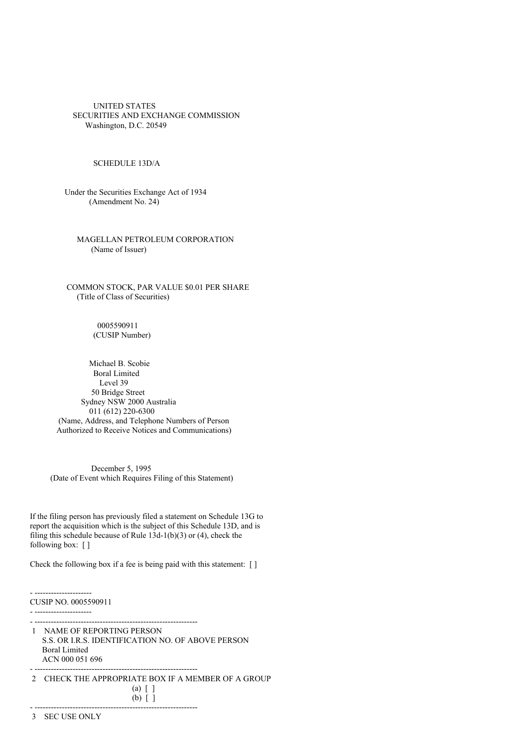#### UNITED STATES SECURITIES AND EXCHANGE COMMISSION Washington, D.C. 20549

#### SCHEDULE 13D/A

Under the Securities Exchange Act of 1934 (Amendment No. 24)

MAGELLAN PETROLEUM CORPORATION (Name of Issuer)

COMMON STOCK, PAR VALUE \$0.01 PER SHARE (Title of Class of Securities)

> 0005590911 (CUSIP Number)

Michael B. Scobie Boral Limited Level 39 50 Bridge Street Sydney NSW 2000 Australia 011 (612) 220-6300 (Name, Address, and Telephone Numbers of Person Authorized to Receive Notices and Communications)

December 5, 1995 (Date of Event which Requires Filing of this Statement)

If the filing person has previously filed a statement on Schedule 13G to report the acquisition which is the subject of this Schedule 13D, and is filing this schedule because of Rule 13d-1(b)(3) or (4), check the following box: []

Check the following box if a fee is being paid with this statement: [ ]

- --------------------- CUSIP NO. 0005590911

- ---------------------

1 NAME OF REPORTING PERSON S.S. OR I.R.S. IDENTIFICATION NO. OF ABOVE PERSON Boral Limited ACN 000 051 696

- ------------------------------------------------------------

 $-$ 

2 CHECK THE APPROPRIATE BOX IF A MEMBER OF A GROUP (a) [ ] (b) [ ] - ------------------------------------------------------------

3 SEC USE ONLY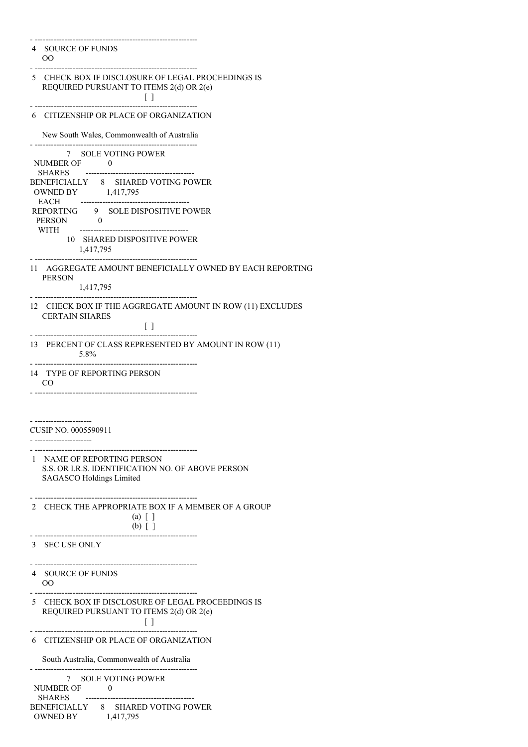| 4 SOURCE OF FUNDS<br>$00\,$                                                                                        |
|--------------------------------------------------------------------------------------------------------------------|
| 5 CHECK BOX IF DISCLOSURE OF LEGAL PROCEEDINGS IS<br>REQUIRED PURSUANT TO ITEMS 2(d) OR 2(e)<br>$\Box$ [ ]         |
| 6 CITIZENSHIP OR PLACE OF ORGANIZATION                                                                             |
| New South Wales, Commonwealth of Australia                                                                         |
| 7 SOLE VOTING POWER                                                                                                |
| BENEFICIALLY 8 SHARED VOTING POWER<br>OWNED BY 1,417,795                                                           |
| EACH --<br>REPORTING 9 SOLE DISPOSITIVE POWER<br>PERSON 0                                                          |
| 10 SHARED DISPOSITIVE POWER<br>1,417,795                                                                           |
| ---------------------------------<br>11 AGGREGATE AMOUNT BENEFICIALLY OWNED BY EACH REPORTING<br><b>PERSON</b>     |
| 1,417,795                                                                                                          |
| 12 CHECK BOX IF THE AGGREGATE AMOUNT IN ROW (11) EXCLUDES<br><b>CERTAIN SHARES</b><br>$\Box$                       |
| 13 PERCENT OF CLASS REPRESENTED BY AMOUNT IN ROW (11)<br>5.8%                                                      |
| 14 TYPE OF REPORTING PERSON<br>CO.                                                                                 |
|                                                                                                                    |
| ---------------------                                                                                              |
| CUSIP NO. 0005590911                                                                                               |
| 1 NAME OF REPORTING PERSON<br>S.S. OR I.R.S. IDENTIFICATION NO. OF ABOVE PERSON<br><b>SAGASCO Holdings Limited</b> |
| 2 CHECK THE APPROPRIATE BOX IF A MEMBER OF A GROUP<br>$(a) \mid$<br>$(b)$ []                                       |
| 3 SEC USE ONLY                                                                                                     |
| 4 SOURCE OF FUNDS<br>OO.                                                                                           |
| 5 CHECK BOX IF DISCLOSURE OF LEGAL PROCEEDINGS IS<br>REQUIRED PURSUANT TO ITEMS 2(d) OR 2(e)<br>and a state        |
| 6 CITIZENSHIP OR PLACE OF ORGANIZATION                                                                             |
| South Australia, Commonwealth of Australia                                                                         |
| 7 SOLE VOTING POWER<br>NUMBER OF 0<br>SHARES ----                                                                  |
| BENEFICIALLY 8 SHARED VOTING POWER<br>OWNED BY 1,417,795                                                           |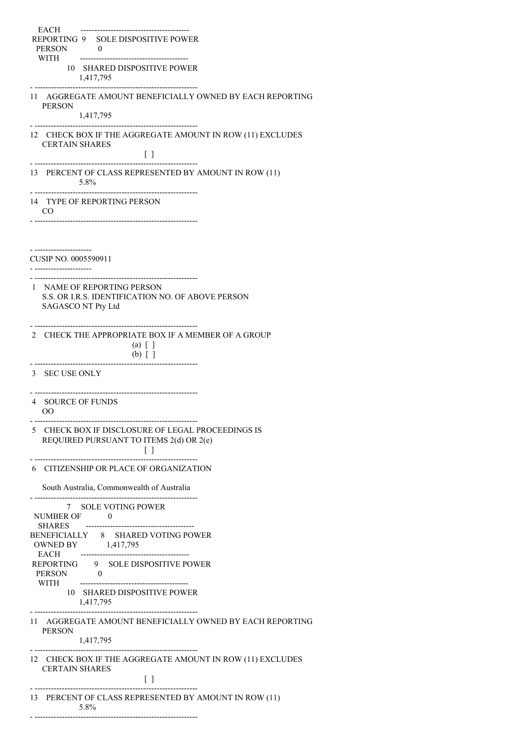| EACH -----------------------------<br>REPORTING 9 SOLE DISPOSITIVE POWER<br>PERSON<br>$\theta$<br>WITH       |
|--------------------------------------------------------------------------------------------------------------|
| 10 SHARED DISPOSITIVE POWER<br>1,417,795                                                                     |
| 11 AGGREGATE AMOUNT BENEFICIALLY OWNED BY EACH REPORTING<br><b>PERSON</b><br>1,417,795                       |
| 12 CHECK BOX IF THE AGGREGATE AMOUNT IN ROW (11) EXCLUDES<br><b>CERTAIN SHARES</b><br>$\Box$                 |
| 13 PERCENT OF CLASS REPRESENTED BY AMOUNT IN ROW (11)<br>5.8%                                                |
| 14 TYPE OF REPORTING PERSON<br>CO.                                                                           |
| CUSIP NO. 0005590911<br>------------------                                                                   |
| 1 NAME OF REPORTING PERSON<br>S.S. OR I.R.S. IDENTIFICATION NO. OF ABOVE PERSON<br><b>SAGASCO NT Pty Ltd</b> |
| 2 CHECK THE APPROPRIATE BOX IF A MEMBER OF A GROUP<br>$(a)$ $[$ $]$<br>$(b)$ [ ]                             |
| 3 SEC USE ONLY                                                                                               |
| 4 SOURCE OF FUNDS<br><sub>OO</sub>                                                                           |
| 5 CHECK BOX IF DISCLOSURE OF LEGAL PROCEEDINGS IS<br>REQUIRED PURSUANT TO ITEMS 2(d) OR 2(e)<br>$\Box$ [ ]   |
| 6 CITIZENSHIP OR PLACE OF ORGANIZATION                                                                       |
| South Australia, Commonwealth of Australia                                                                   |
| 7 SOLE VOTING POWER<br>NUMBER OF 0                                                                           |
| BENEFICIALLY 8 SHARED VOTING POWER<br>OWNED BY 1,417,795                                                     |
| REPORTING 9 SOLE DISPOSITIVE POWER<br>PERSON 0<br>WITH                                                       |
| 10 SHARED DISPOSITIVE POWER<br>1,417,795                                                                     |
| 11 AGGREGATE AMOUNT BENEFICIALLY OWNED BY EACH REPORTING<br><b>PERSON</b><br>1,417,795                       |
| 12 CHECK BOX IF THE AGGREGATE AMOUNT IN ROW (11) EXCLUDES<br><b>CERTAIN SHARES</b><br>$\blacksquare$         |
| 13 PERCENT OF CLASS REPRESENTED BY AMOUNT IN ROW (11)<br>5.8%                                                |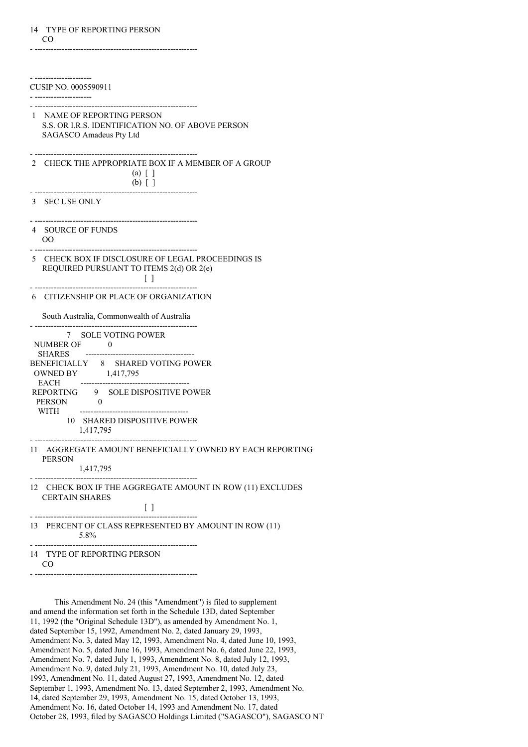- ------------------------------------------------------------

| ---------------------                                                                                                               |
|-------------------------------------------------------------------------------------------------------------------------------------|
| CUSIP NO. 0005590911                                                                                                                |
| -------------------                                                                                                                 |
| 1 NAME OF REPORTING PERSON<br>S.S. OR I.R.S. IDENTIFICATION NO. OF ABOVE PERSON<br>SAGASCO Amadeus Pty Ltd                          |
| 2 CHECK THE APPROPRIATE BOX IF A MEMBER OF A GROUP<br>$(a)$ $[$ $]$<br>$(b)$ [ ]                                                    |
| 3 SEC USE ONLY                                                                                                                      |
| 4 SOURCE OF FUNDS<br>OQ                                                                                                             |
| 5 CHECK BOX IF DISCLOSURE OF LEGAL PROCEEDINGS IS<br>REQUIRED PURSUANT TO ITEMS 2(d) OR 2(e)<br>$\Box$                              |
| 6 CITIZENSHIP OR PLACE OF ORGANIZATION                                                                                              |
| South Australia, Commonwealth of Australia                                                                                          |
| 7 SOLE VOTING POWER<br>NUMBER OF 0                                                                                                  |
| BENEFICIALLY 8 SHARED VOTING POWER<br>OWNED BY 1,417,795                                                                            |
| REPORTING 9 SOLE DISPOSITIVE POWER<br>PERSON 0<br>WITH                                                                              |
| 10 SHARED DISPOSITIVE POWER<br>1,417,795                                                                                            |
| 11 AGGREGATE AMOUNT BENEFICIALLY OWNED BY EACH REPORTING<br><b>PERSON</b><br>1,417,795                                              |
| 12 CHECK BOX IF THE AGGREGATE AMOUNT IN ROW (11) EXCLUDES<br><b>CERTAIN SHARES</b><br>$\left[ \begin{array}{c} \end{array} \right]$ |
| 13 PERCENT OF CLASS REPRESENTED BY AMOUNT IN ROW (11)<br>5.8%                                                                       |
| 14 TYPE OF REPORTING PERSON<br>CO <sup>-</sup>                                                                                      |

This Amendment No. 24 (this "Amendment") is filed to supplement and amend the information set forth in the Schedule 13D, dated September 11, 1992 (the "Original Schedule 13D"), as amended by Amendment No. 1, dated September 15, 1992, Amendment No. 2, dated January 29, 1993, Amendment No. 3, dated May 12, 1993, Amendment No. 4, dated June 10, 1993, Amendment No. 5, dated June 16, 1993, Amendment No. 6, dated June 22, 1993, Amendment No. 7, dated July 1, 1993, Amendment No. 8, dated July 12, 1993, Amendment No. 9, dated July 21, 1993, Amendment No. 10, dated July 23, 1993, Amendment No. 11, dated August 27, 1993, Amendment No. 12, dated September 1, 1993, Amendment No. 13, dated September 2, 1993, Amendment No. 14, dated September 29, 1993, Amendment No. 15, dated October 13, 1993, Amendment No. 16, dated October 14, 1993 and Amendment No. 17, dated October 28, 1993, filed by SAGASCO Holdings Limited ("SAGASCO"), SAGASCO NT

- ------------------------------------------------------------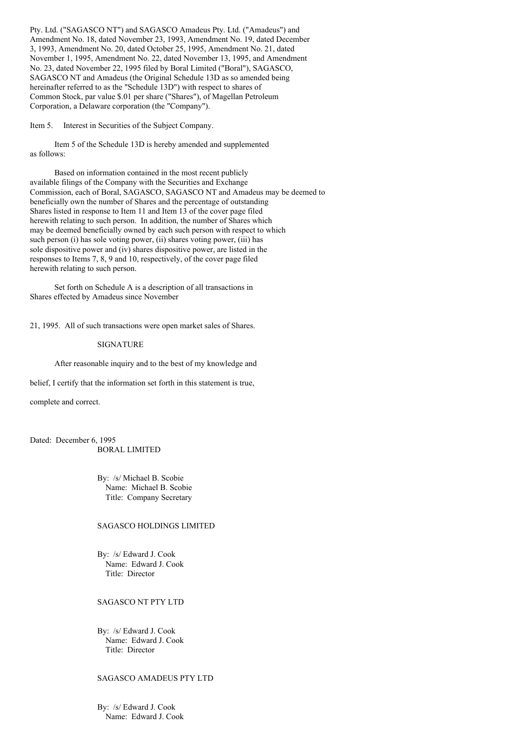Pty. Ltd. ("SAGASCO NT") and SAGASCO Amadeus Pty. Ltd. ("Amadeus") and Amendment No. 18, dated November 23, 1993, Amendment No. 19, dated December 3, 1993, Amendment No. 20, dated October 25, 1995, Amendment No. 21, dated November 1, 1995, Amendment No. 22, dated November 13, 1995, and Amendment No. 23, dated November 22, 1995 filed by Boral Limited ("Boral"), SAGASCO, SAGASCO NT and Amadeus (the Original Schedule 13D as so amended being hereinafter referred to as the "Schedule 13D") with respect to shares of Common Stock, par value \$.01 per share ("Shares"), of Magellan Petroleum Corporation, a Delaware corporation (the "Company").

Item 5. Interest in Securities of the Subject Company.

Item 5 of the Schedule 13D is hereby amended and supplemented as follows:

Based on information contained in the most recent publicly available filings of the Company with the Securities and Exchange Commission, each of Boral, SAGASCO, SAGASCO NT and Amadeus may be deemed to beneficially own the number of Shares and the percentage of outstanding Shares listed in response to Item 11 and Item 13 of the cover page filed herewith relating to such person. In addition, the number of Shares which may be deemed beneficially owned by each such person with respect to which such person (i) has sole voting power, (ii) shares voting power, (iii) has sole dispositive power and (iv) shares dispositive power, are listed in the responses to Items 7, 8, 9 and 10, respectively, of the cover page filed herewith relating to such person.

Set forth on Schedule A is a description of all transactions in Shares effected by Amadeus since November

21, 1995. All of such transactions were open market sales of Shares.

SIGNATURE

After reasonable inquiry and to the best of my knowledge and

belief, I certify that the information set forth in this statement is true,

complete and correct.

Dated: December 6, 1995 BORAL LIMITED

> By: /s/ Michael B. Scobie Name: Michael B. Scobie Title: Company Secretary

### SAGASCO HOLDINGS LIMITED

By: /s/ Edward J. Cook Name: Edward J. Cook Title: Director

### SAGASCO NT PTY LTD

By: /s/ Edward J. Cook Name: Edward J. Cook Title: Director

## SAGASCO AMADEUS PTY LTD

By: /s/ Edward J. Cook Name: Edward J. Cook